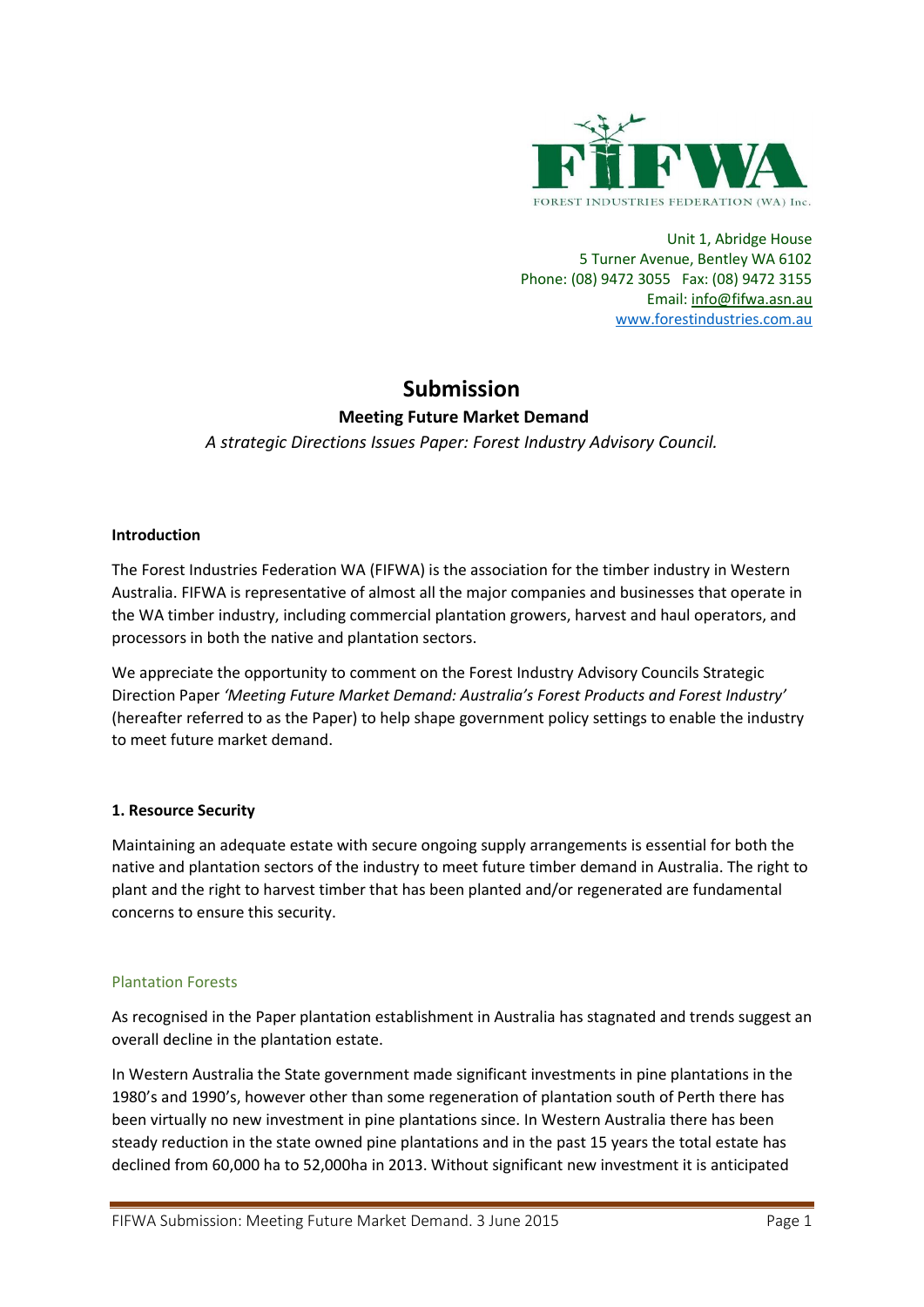

Unit 1, Abridge House 5 Turner Avenue, Bentley WA 6102 Phone: (08) 9472 3055 Fax: (08) 9472 3155 Email[: info@fifwa.asn.au](mailto:info@fifwa.asn.au) [www.forestindustries.com.au](http://www.forestindustries.com.au/)

# **Submission**

# **Meeting Future Market Demand**

*A strategic Directions Issues Paper: Forest Industry Advisory Council.*

# **Introduction**

The Forest Industries Federation WA (FIFWA) is the association for the timber industry in Western Australia. FIFWA is representative of almost all the major companies and businesses that operate in the WA timber industry, including commercial plantation growers, harvest and haul operators, and processors in both the native and plantation sectors.

We appreciate the opportunity to comment on the Forest Industry Advisory Councils Strategic Direction Paper *'Meeting Future Market Demand: Australia's Forest Products and Forest Industry'*  (hereafter referred to as the Paper) to help shape government policy settings to enable the industry to meet future market demand.

# **1. Resource Security**

Maintaining an adequate estate with secure ongoing supply arrangements is essential for both the native and plantation sectors of the industry to meet future timber demand in Australia. The right to plant and the right to harvest timber that has been planted and/or regenerated are fundamental concerns to ensure this security.

# Plantation Forests

As recognised in the Paper plantation establishment in Australia has stagnated and trends suggest an overall decline in the plantation estate.

In Western Australia the State government made significant investments in pine plantations in the 1980's and 1990's, however other than some regeneration of plantation south of Perth there has been virtually no new investment in pine plantations since. In Western Australia there has been steady reduction in the state owned pine plantations and in the past 15 years the total estate has declined from 60,000 ha to 52,000ha in 2013. Without significant new investment it is anticipated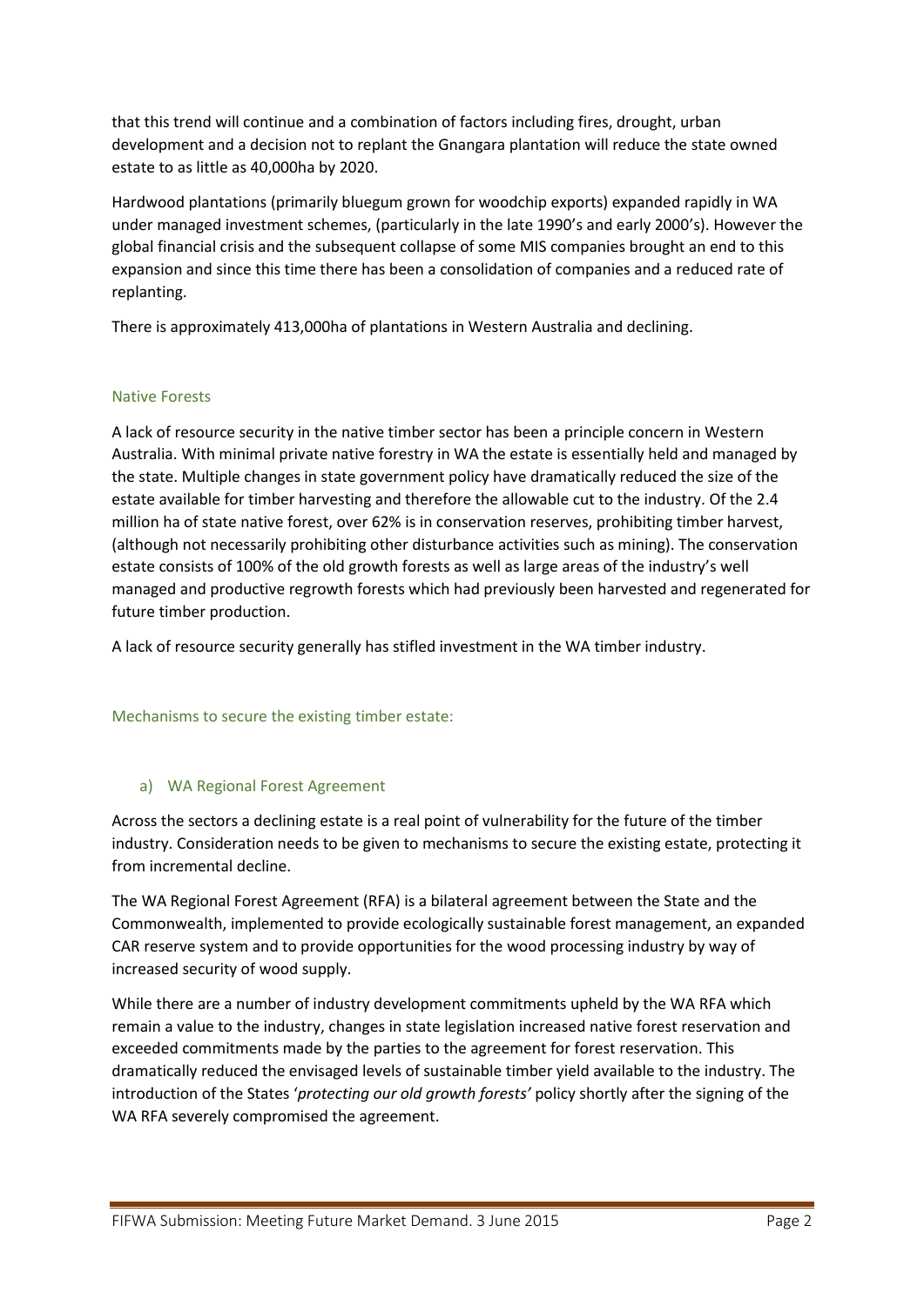that this trend will continue and a combination of factors including fires, drought, urban development and a decision not to replant the Gnangara plantation will reduce the state owned estate to as little as 40,000ha by 2020.

Hardwood plantations (primarily bluegum grown for woodchip exports) expanded rapidly in WA under managed investment schemes, (particularly in the late 1990's and early 2000's). However the global financial crisis and the subsequent collapse of some MIS companies brought an end to this expansion and since this time there has been a consolidation of companies and a reduced rate of replanting.

There is approximately 413,000ha of plantations in Western Australia and declining.

# Native Forests

A lack of resource security in the native timber sector has been a principle concern in Western Australia. With minimal private native forestry in WA the estate is essentially held and managed by the state. Multiple changes in state government policy have dramatically reduced the size of the estate available for timber harvesting and therefore the allowable cut to the industry. Of the 2.4 million ha of state native forest, over 62% is in conservation reserves, prohibiting timber harvest, (although not necessarily prohibiting other disturbance activities such as mining). The conservation estate consists of 100% of the old growth forests as well as large areas of the industry's well managed and productive regrowth forests which had previously been harvested and regenerated for future timber production.

A lack of resource security generally has stifled investment in the WA timber industry.

Mechanisms to secure the existing timber estate:

# a) WA Regional Forest Agreement

Across the sectors a declining estate is a real point of vulnerability for the future of the timber industry. Consideration needs to be given to mechanisms to secure the existing estate, protecting it from incremental decline.

The WA Regional Forest Agreement (RFA) is a bilateral agreement between the State and the Commonwealth, implemented to provide ecologically sustainable forest management, an expanded CAR reserve system and to provide opportunities for the wood processing industry by way of increased security of wood supply.

While there are a number of industry development commitments upheld by the WA RFA which remain a value to the industry, changes in state legislation increased native forest reservation and exceeded commitments made by the parties to the agreement for forest reservation. This dramatically reduced the envisaged levels of sustainable timber yield available to the industry. The introduction of the States '*protecting our old growth forests'* policy shortly after the signing of the WA RFA severely compromised the agreement.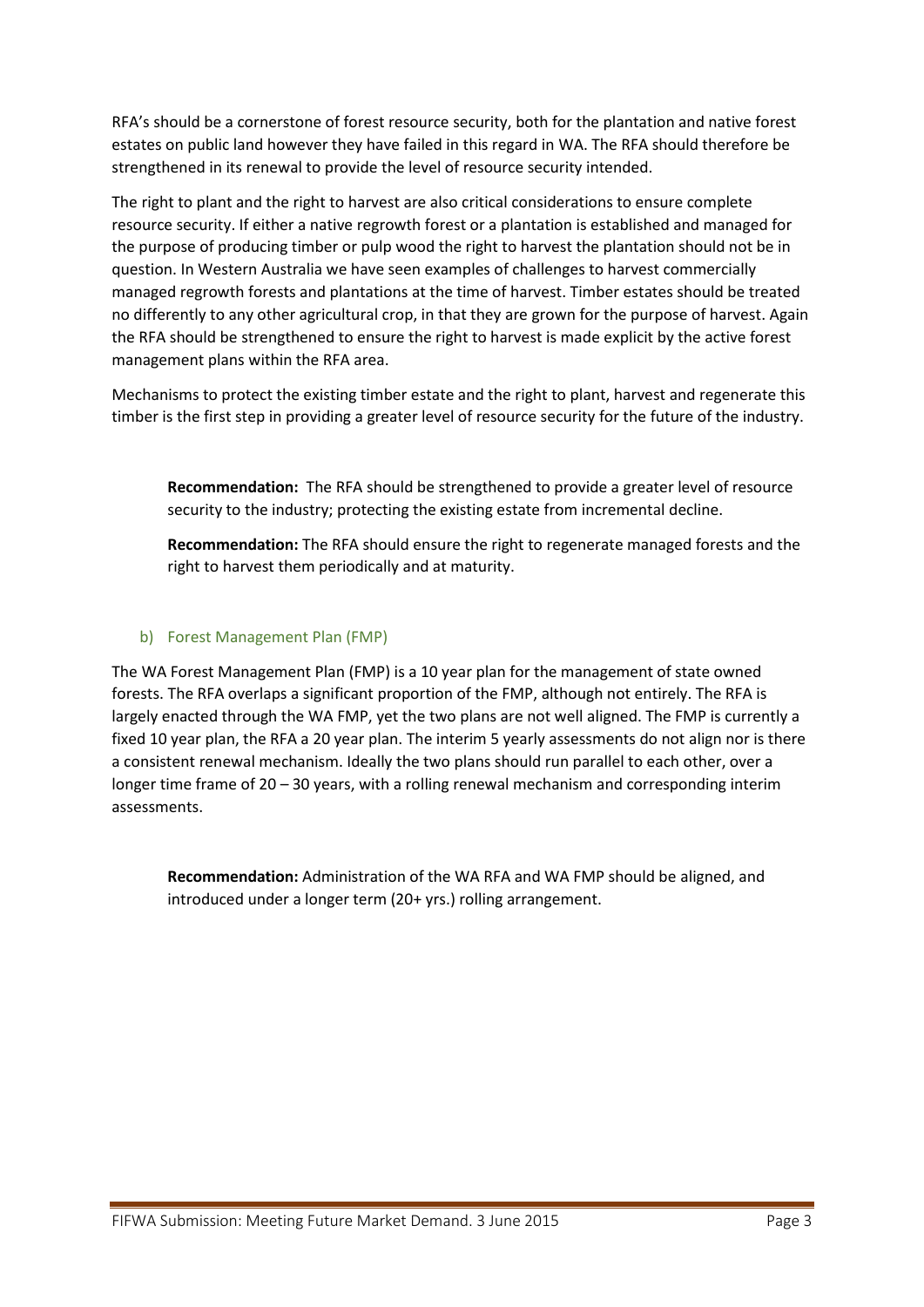RFA's should be a cornerstone of forest resource security, both for the plantation and native forest estates on public land however they have failed in this regard in WA. The RFA should therefore be strengthened in its renewal to provide the level of resource security intended.

The right to plant and the right to harvest are also critical considerations to ensure complete resource security. If either a native regrowth forest or a plantation is established and managed for the purpose of producing timber or pulp wood the right to harvest the plantation should not be in question. In Western Australia we have seen examples of challenges to harvest commercially managed regrowth forests and plantations at the time of harvest. Timber estates should be treated no differently to any other agricultural crop, in that they are grown for the purpose of harvest. Again the RFA should be strengthened to ensure the right to harvest is made explicit by the active forest management plans within the RFA area.

Mechanisms to protect the existing timber estate and the right to plant, harvest and regenerate this timber is the first step in providing a greater level of resource security for the future of the industry.

**Recommendation:** The RFA should be strengthened to provide a greater level of resource security to the industry; protecting the existing estate from incremental decline.

**Recommendation:** The RFA should ensure the right to regenerate managed forests and the right to harvest them periodically and at maturity.

# b) Forest Management Plan (FMP)

The WA Forest Management Plan (FMP) is a 10 year plan for the management of state owned forests. The RFA overlaps a significant proportion of the FMP, although not entirely. The RFA is largely enacted through the WA FMP, yet the two plans are not well aligned. The FMP is currently a fixed 10 year plan, the RFA a 20 year plan. The interim 5 yearly assessments do not align nor is there a consistent renewal mechanism. Ideally the two plans should run parallel to each other, over a longer time frame of 20 – 30 years, with a rolling renewal mechanism and corresponding interim assessments.

**Recommendation:** Administration of the WA RFA and WA FMP should be aligned, and introduced under a longer term (20+ yrs.) rolling arrangement.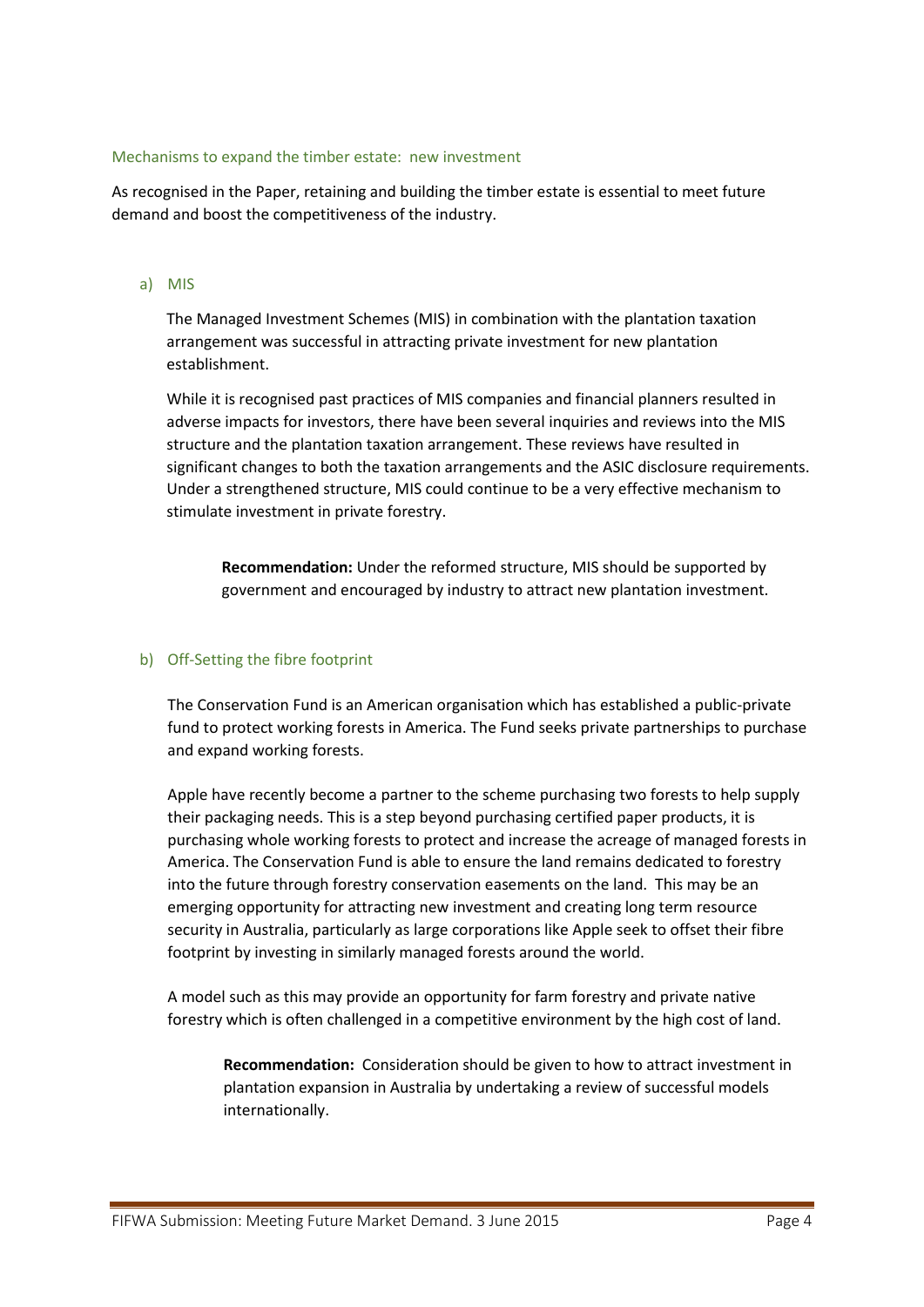#### Mechanisms to expand the timber estate: new investment

As recognised in the Paper, retaining and building the timber estate is essential to meet future demand and boost the competitiveness of the industry.

#### a) MIS

The Managed Investment Schemes (MIS) in combination with the plantation taxation arrangement was successful in attracting private investment for new plantation establishment.

While it is recognised past practices of MIS companies and financial planners resulted in adverse impacts for investors, there have been several inquiries and reviews into the MIS structure and the plantation taxation arrangement. These reviews have resulted in significant changes to both the taxation arrangements and the ASIC disclosure requirements. Under a strengthened structure, MIS could continue to be a very effective mechanism to stimulate investment in private forestry.

**Recommendation:** Under the reformed structure, MIS should be supported by government and encouraged by industry to attract new plantation investment.

#### b) Off-Setting the fibre footprint

The Conservation Fund is an American organisation which has established a public-private fund to protect working forests in America. The Fund seeks private partnerships to purchase and expand working forests.

Apple have recently become a partner to the scheme purchasing two forests to help supply their packaging needs. This is a step beyond purchasing certified paper products, it is purchasing whole working forests to protect and increase the acreage of managed forests in America. The Conservation Fund is able to ensure the land remains dedicated to forestry into the future through forestry conservation easements on the land. This may be an emerging opportunity for attracting new investment and creating long term resource security in Australia, particularly as large corporations like Apple seek to offset their fibre footprint by investing in similarly managed forests around the world.

A model such as this may provide an opportunity for farm forestry and private native forestry which is often challenged in a competitive environment by the high cost of land.

**Recommendation:** Consideration should be given to how to attract investment in plantation expansion in Australia by undertaking a review of successful models internationally.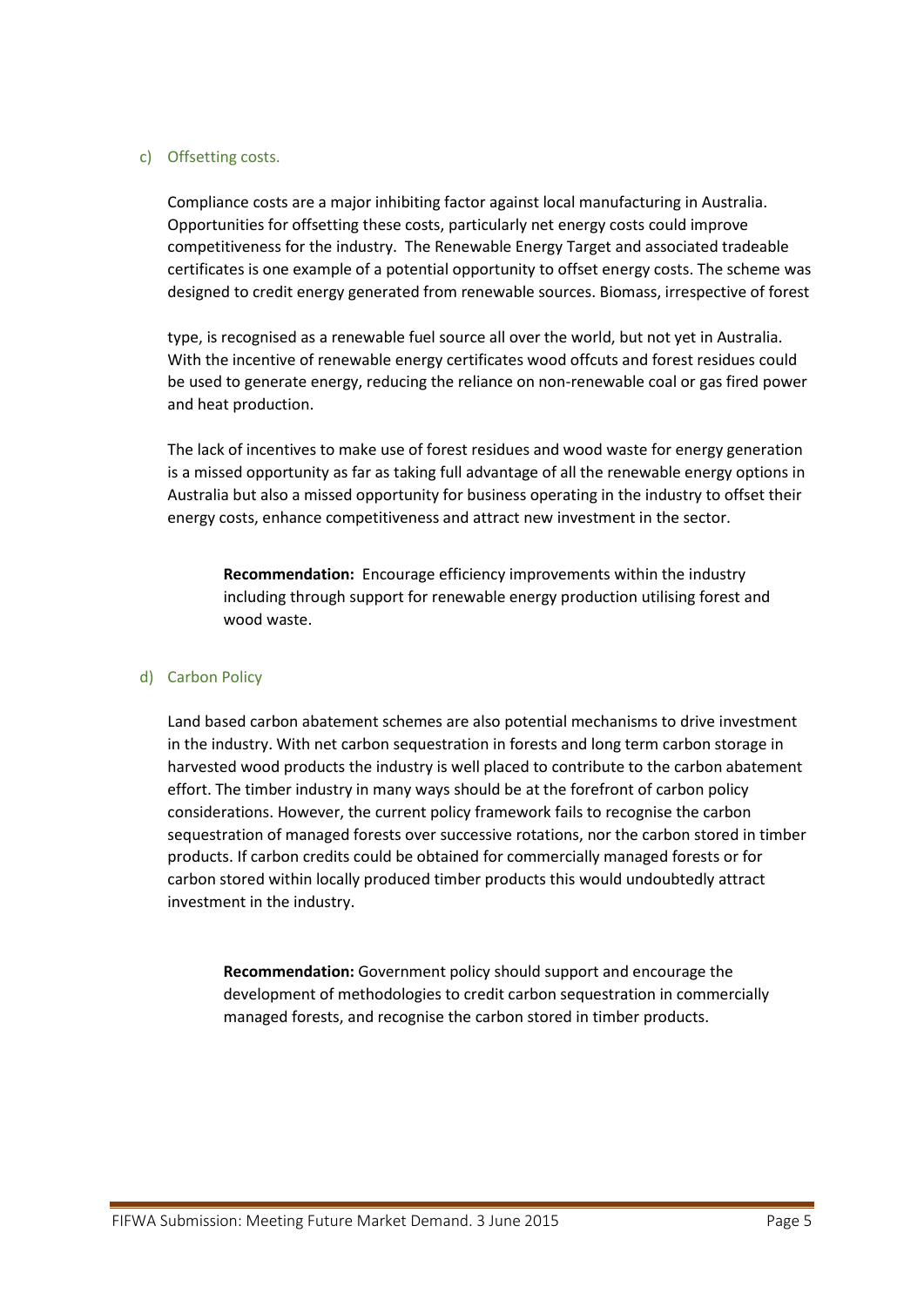#### c) Offsetting costs.

Compliance costs are a major inhibiting factor against local manufacturing in Australia. Opportunities for offsetting these costs, particularly net energy costs could improve competitiveness for the industry. The Renewable Energy Target and associated tradeable certificates is one example of a potential opportunity to offset energy costs. The scheme was designed to credit energy generated from renewable sources. Biomass, irrespective of forest

type, is recognised as a renewable fuel source all over the world, but not yet in Australia. With the incentive of renewable energy certificates wood offcuts and forest residues could be used to generate energy, reducing the reliance on non-renewable coal or gas fired power and heat production.

The lack of incentives to make use of forest residues and wood waste for energy generation is a missed opportunity as far as taking full advantage of all the renewable energy options in Australia but also a missed opportunity for business operating in the industry to offset their energy costs, enhance competitiveness and attract new investment in the sector.

**Recommendation:** Encourage efficiency improvements within the industry including through support for renewable energy production utilising forest and wood waste.

#### d) Carbon Policy

Land based carbon abatement schemes are also potential mechanisms to drive investment in the industry. With net carbon sequestration in forests and long term carbon storage in harvested wood products the industry is well placed to contribute to the carbon abatement effort. The timber industry in many ways should be at the forefront of carbon policy considerations. However, the current policy framework fails to recognise the carbon sequestration of managed forests over successive rotations, nor the carbon stored in timber products. If carbon credits could be obtained for commercially managed forests or for carbon stored within locally produced timber products this would undoubtedly attract investment in the industry.

**Recommendation:** Government policy should support and encourage the development of methodologies to credit carbon sequestration in commercially managed forests, and recognise the carbon stored in timber products.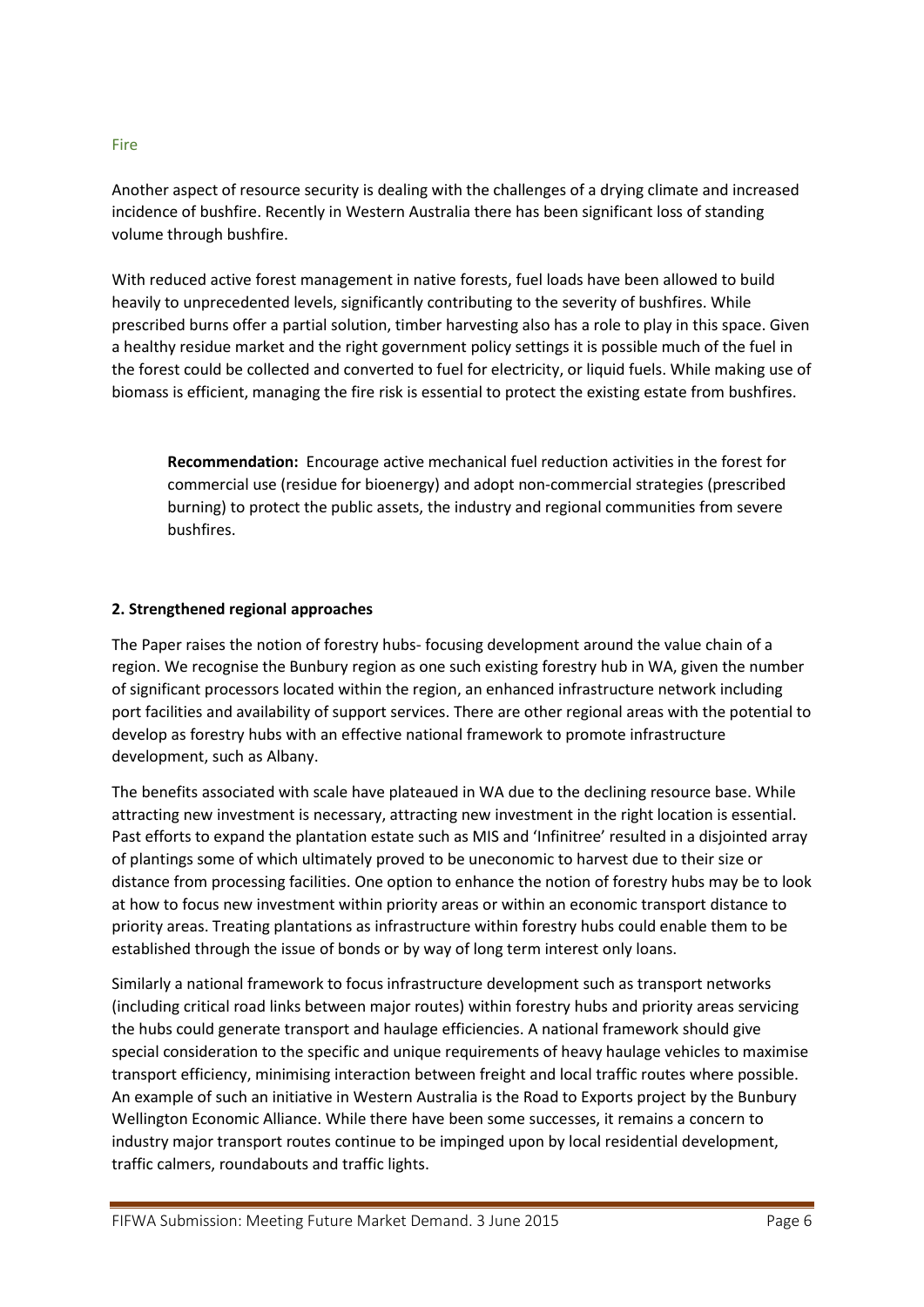#### Fire

Another aspect of resource security is dealing with the challenges of a drying climate and increased incidence of bushfire. Recently in Western Australia there has been significant loss of standing volume through bushfire.

With reduced active forest management in native forests, fuel loads have been allowed to build heavily to unprecedented levels, significantly contributing to the severity of bushfires. While prescribed burns offer a partial solution, timber harvesting also has a role to play in this space. Given a healthy residue market and the right government policy settings it is possible much of the fuel in the forest could be collected and converted to fuel for electricity, or liquid fuels. While making use of biomass is efficient, managing the fire risk is essential to protect the existing estate from bushfires.

**Recommendation:** Encourage active mechanical fuel reduction activities in the forest for commercial use (residue for bioenergy) and adopt non-commercial strategies (prescribed burning) to protect the public assets, the industry and regional communities from severe bushfires.

#### **2. Strengthened regional approaches**

The Paper raises the notion of forestry hubs- focusing development around the value chain of a region. We recognise the Bunbury region as one such existing forestry hub in WA, given the number of significant processors located within the region, an enhanced infrastructure network including port facilities and availability of support services. There are other regional areas with the potential to develop as forestry hubs with an effective national framework to promote infrastructure development, such as Albany.

The benefits associated with scale have plateaued in WA due to the declining resource base. While attracting new investment is necessary, attracting new investment in the right location is essential. Past efforts to expand the plantation estate such as MIS and 'Infinitree' resulted in a disjointed array of plantings some of which ultimately proved to be uneconomic to harvest due to their size or distance from processing facilities. One option to enhance the notion of forestry hubs may be to look at how to focus new investment within priority areas or within an economic transport distance to priority areas. Treating plantations as infrastructure within forestry hubs could enable them to be established through the issue of bonds or by way of long term interest only loans.

Similarly a national framework to focus infrastructure development such as transport networks (including critical road links between major routes) within forestry hubs and priority areas servicing the hubs could generate transport and haulage efficiencies. A national framework should give special consideration to the specific and unique requirements of heavy haulage vehicles to maximise transport efficiency, minimising interaction between freight and local traffic routes where possible. An example of such an initiative in Western Australia is the Road to Exports project by the Bunbury Wellington Economic Alliance. While there have been some successes, it remains a concern to industry major transport routes continue to be impinged upon by local residential development, traffic calmers, roundabouts and traffic lights.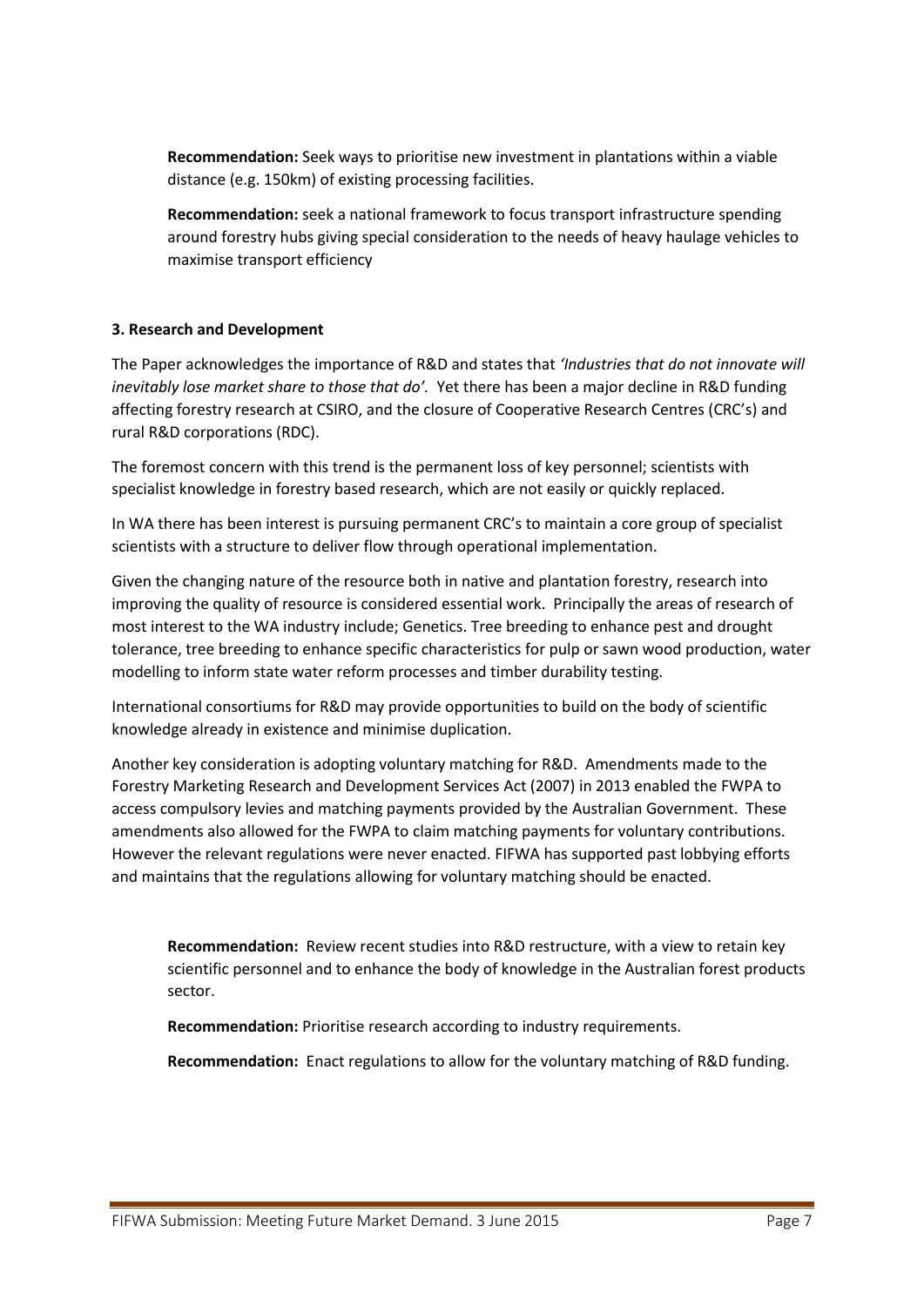**Recommendation:** Seek ways to prioritise new investment in plantations within a viable distance (e.g. 150km) of existing processing facilities.

**Recommendation:** seek a national framework to focus transport infrastructure spending around forestry hubs giving special consideration to the needs of heavy haulage vehicles to maximise transport efficiency

# **3. Research and Development**

The Paper acknowledges the importance of R&D and states that *'Industries that do not innovate will inevitably lose market share to those that do'.* Yet there has been a major decline in R&D funding affecting forestry research at CSIRO, and the closure of Cooperative Research Centres (CRC's) and rural R&D corporations (RDC).

The foremost concern with this trend is the permanent loss of key personnel; scientists with specialist knowledge in forestry based research, which are not easily or quickly replaced.

In WA there has been interest is pursuing permanent CRC's to maintain a core group of specialist scientists with a structure to deliver flow through operational implementation.

Given the changing nature of the resource both in native and plantation forestry, research into improving the quality of resource is considered essential work. Principally the areas of research of most interest to the WA industry include; Genetics. Tree breeding to enhance pest and drought tolerance, tree breeding to enhance specific characteristics for pulp or sawn wood production, water modelling to inform state water reform processes and timber durability testing.

International consortiums for R&D may provide opportunities to build on the body of scientific knowledge already in existence and minimise duplication.

Another key consideration is adopting voluntary matching for R&D. Amendments made to the Forestry Marketing Research and Development Services Act (2007) in 2013 enabled the FWPA to access compulsory levies and matching payments provided by the Australian Government. These amendments also allowed for the FWPA to claim matching payments for voluntary contributions. However the relevant regulations were never enacted. FIFWA has supported past lobbying efforts and maintains that the regulations allowing for voluntary matching should be enacted.

**Recommendation:** Review recent studies into R&D restructure, with a view to retain key scientific personnel and to enhance the body of knowledge in the Australian forest products sector.

**Recommendation:** Prioritise research according to industry requirements.

**Recommendation:** Enact regulations to allow for the voluntary matching of R&D funding.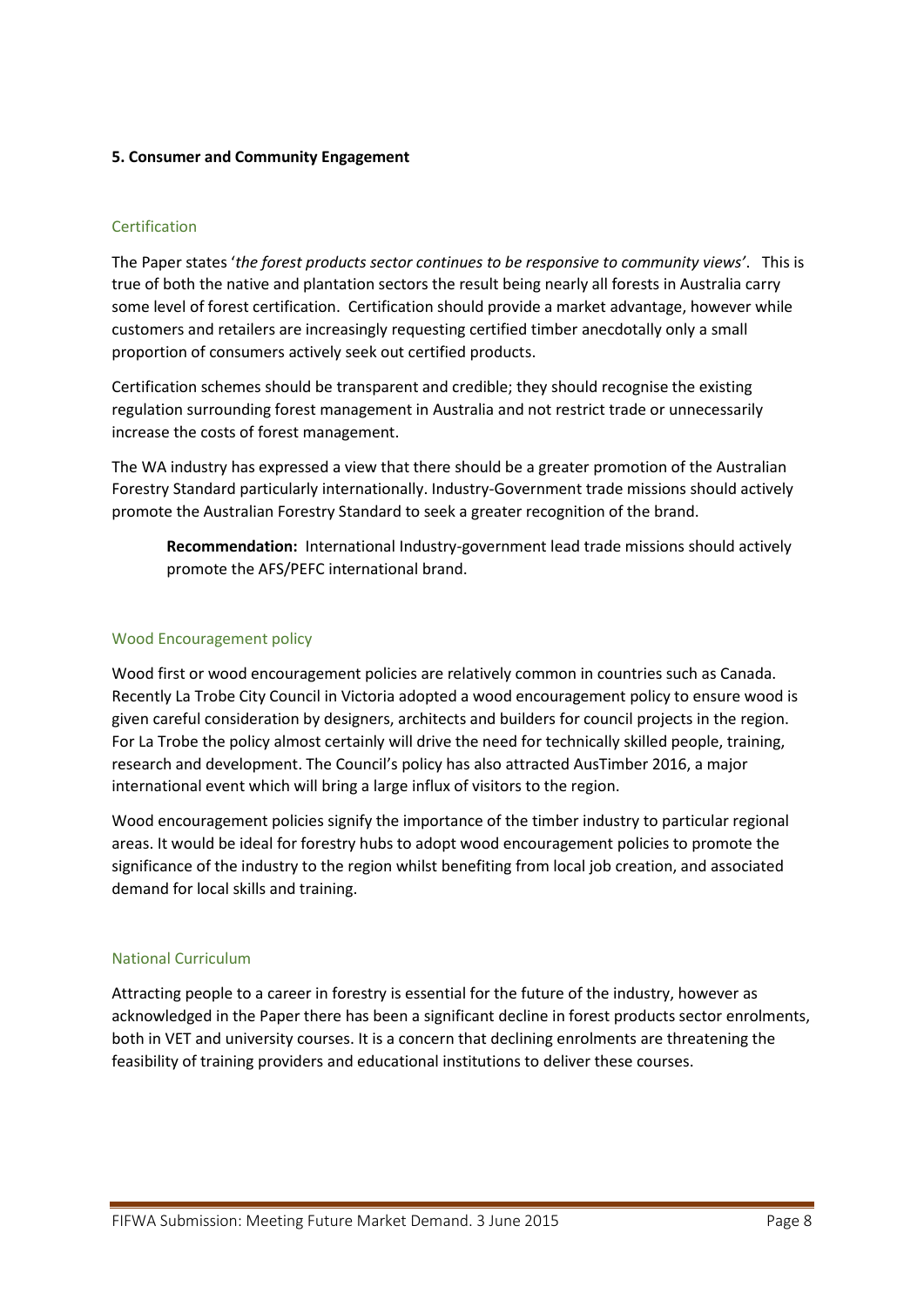# **5. Consumer and Community Engagement**

# Certification

The Paper states '*the forest products sector continues to be responsive to community views'*. This is true of both the native and plantation sectors the result being nearly all forests in Australia carry some level of forest certification. Certification should provide a market advantage, however while customers and retailers are increasingly requesting certified timber anecdotally only a small proportion of consumers actively seek out certified products.

Certification schemes should be transparent and credible; they should recognise the existing regulation surrounding forest management in Australia and not restrict trade or unnecessarily increase the costs of forest management.

The WA industry has expressed a view that there should be a greater promotion of the Australian Forestry Standard particularly internationally. Industry-Government trade missions should actively promote the Australian Forestry Standard to seek a greater recognition of the brand.

**Recommendation:** International Industry-government lead trade missions should actively promote the AFS/PEFC international brand.

#### Wood Encouragement policy

Wood first or wood encouragement policies are relatively common in countries such as Canada. Recently La Trobe City Council in Victoria adopted a wood encouragement policy to ensure wood is given careful consideration by designers, architects and builders for council projects in the region. For La Trobe the policy almost certainly will drive the need for technically skilled people, training, research and development. The Council's policy has also attracted AusTimber 2016, a major international event which will bring a large influx of visitors to the region.

Wood encouragement policies signify the importance of the timber industry to particular regional areas. It would be ideal for forestry hubs to adopt wood encouragement policies to promote the significance of the industry to the region whilst benefiting from local job creation, and associated demand for local skills and training.

#### National Curriculum

Attracting people to a career in forestry is essential for the future of the industry, however as acknowledged in the Paper there has been a significant decline in forest products sector enrolments, both in VET and university courses. It is a concern that declining enrolments are threatening the feasibility of training providers and educational institutions to deliver these courses.